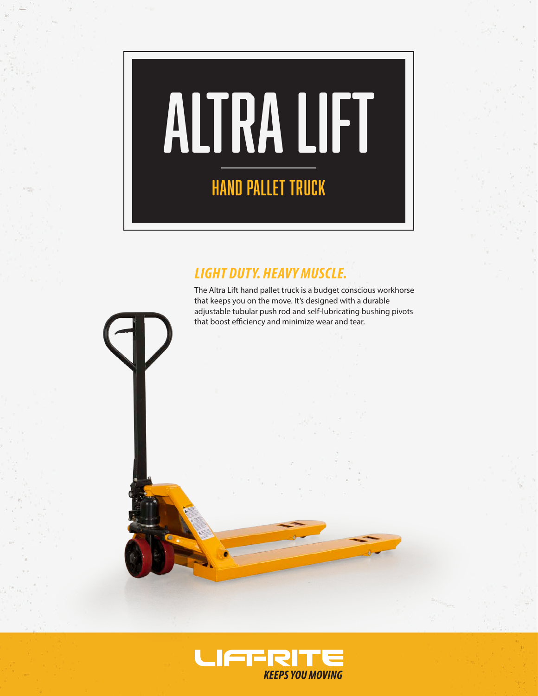

# *LIGHT DUTY. HEAVY MUSCLE.*

The Altra Lift hand pallet truck is a budget conscious workhorse that keeps you on the move. It's designed with a durable adjustable tubular push rod and self-lubricating bushing pivots that boost efficiency and minimize wear and tear.